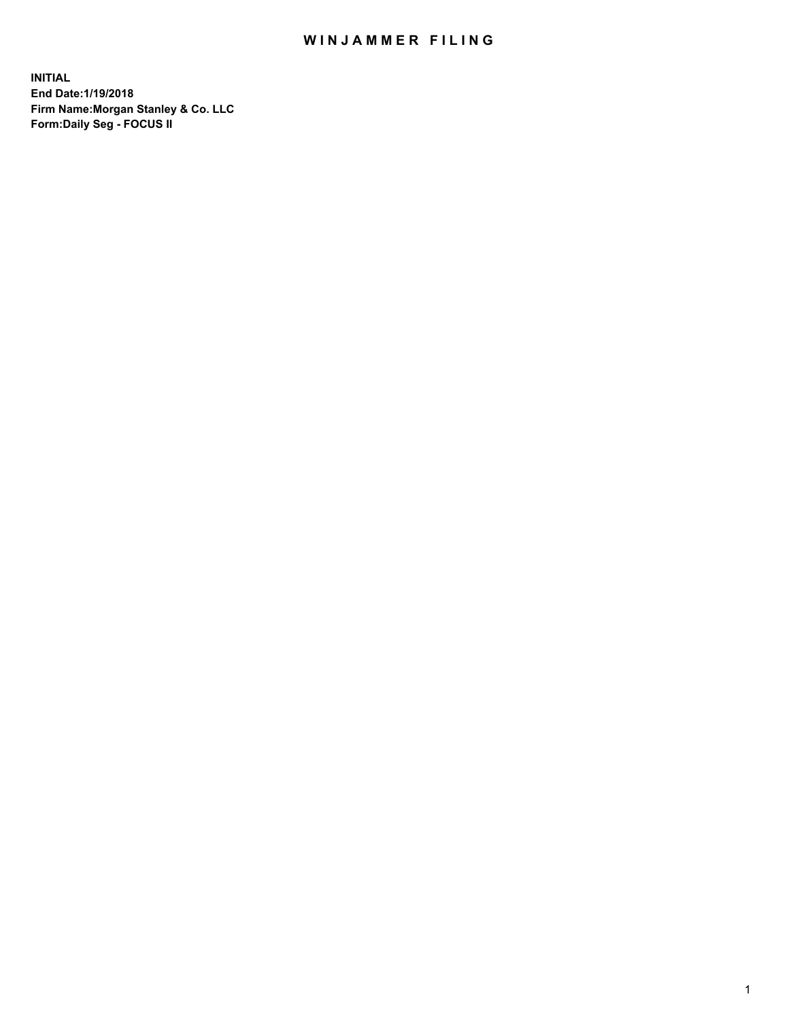### WIN JAMMER FILING

**INITIAL End Date:1/19/2018 Firm Name:Morgan Stanley & Co. LLC Form:Daily Seg - FOCUS II**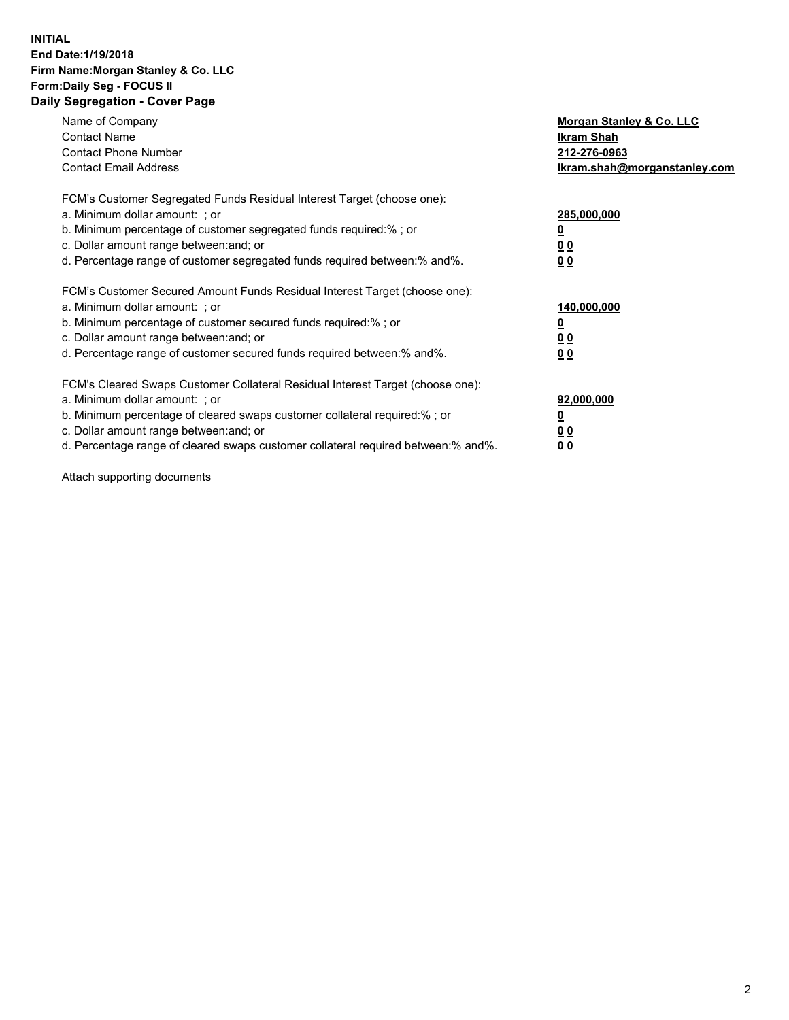#### **INITIAL End Date:1/19/2018 Firm Name:Morgan Stanley & Co. LLC Form:Daily Seg - FOCUS II Daily Segregation - Cover Page**

| Name of Company                                                                   | Morgan Stanley & Co. LLC     |
|-----------------------------------------------------------------------------------|------------------------------|
| <b>Contact Name</b>                                                               | Ikram Shah                   |
| <b>Contact Phone Number</b>                                                       | 212-276-0963                 |
| <b>Contact Email Address</b>                                                      | lkram.shah@morganstanley.com |
| FCM's Customer Segregated Funds Residual Interest Target (choose one):            |                              |
| a. Minimum dollar amount: ; or                                                    | 285,000,000                  |
| b. Minimum percentage of customer segregated funds required:%; or                 |                              |
| c. Dollar amount range between: and; or                                           | 00                           |
| d. Percentage range of customer segregated funds required between: % and %.       | 0 <sub>0</sub>               |
| FCM's Customer Secured Amount Funds Residual Interest Target (choose one):        |                              |
| a. Minimum dollar amount: ; or                                                    | 140,000,000                  |
| b. Minimum percentage of customer secured funds required:%; or                    |                              |
| c. Dollar amount range between: and; or                                           | 00                           |
| d. Percentage range of customer secured funds required between: % and %.          | 0 <sub>0</sub>               |
| FCM's Cleared Swaps Customer Collateral Residual Interest Target (choose one):    |                              |
| a. Minimum dollar amount: ; or                                                    | 92,000,000                   |
| b. Minimum percentage of cleared swaps customer collateral required:% ; or        | <u>0</u>                     |
| c. Dollar amount range between: and; or                                           | <u>00</u>                    |
| d. Percentage range of cleared swaps customer collateral required between:% and%. | 00                           |
|                                                                                   |                              |

Attach supporting documents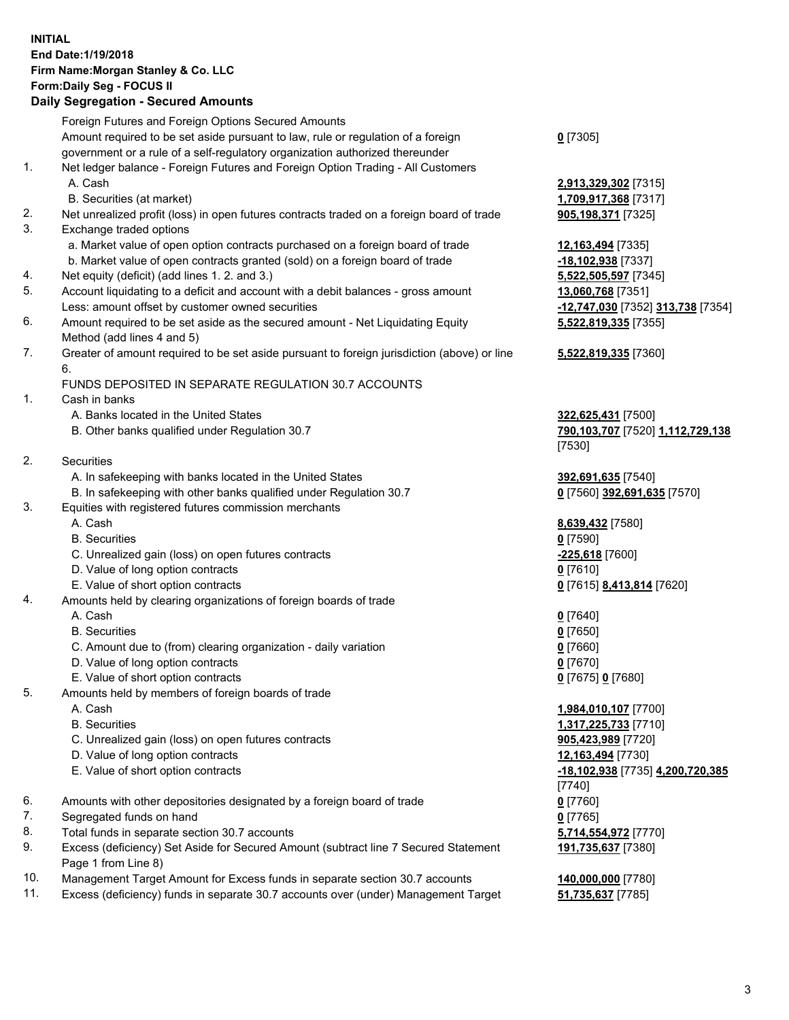### **INITIAL End Date:1/19/2018 Firm Name:Morgan Stanley & Co. LLC Form:Daily Seg - FOCUS II**

# **Daily Segregation - Secured Amounts**

|          | Daily Segregation - Secured Amounts                                                                                                  |                                   |
|----------|--------------------------------------------------------------------------------------------------------------------------------------|-----------------------------------|
|          | Foreign Futures and Foreign Options Secured Amounts                                                                                  |                                   |
|          | Amount required to be set aside pursuant to law, rule or regulation of a foreign                                                     | $0$ [7305]                        |
|          | government or a rule of a self-regulatory organization authorized thereunder                                                         |                                   |
| 1.       | Net ledger balance - Foreign Futures and Foreign Option Trading - All Customers                                                      |                                   |
|          | A. Cash                                                                                                                              | 2,913,329,302 [7315]              |
|          | B. Securities (at market)                                                                                                            | 1,709,917,368 [7317]              |
| 2.       | Net unrealized profit (loss) in open futures contracts traded on a foreign board of trade                                            | 905,198,371 [7325]                |
| 3.       | Exchange traded options                                                                                                              |                                   |
|          | a. Market value of open option contracts purchased on a foreign board of trade                                                       | 12,163,494 [7335]                 |
|          | b. Market value of open contracts granted (sold) on a foreign board of trade                                                         | $-18,102,938$ [7337]              |
| 4.       | Net equity (deficit) (add lines 1.2. and 3.)                                                                                         | 5,522,505,597 [7345]              |
| 5.       | Account liquidating to a deficit and account with a debit balances - gross amount                                                    | 13,060,768 [7351]                 |
|          | Less: amount offset by customer owned securities                                                                                     | -12,747,030 [7352] 313,738 [7354] |
| 6.       | Amount required to be set aside as the secured amount - Net Liquidating Equity                                                       | 5,522,819,335 [7355]              |
|          | Method (add lines 4 and 5)                                                                                                           |                                   |
| 7.       | Greater of amount required to be set aside pursuant to foreign jurisdiction (above) or line                                          | 5,522,819,335 [7360]              |
|          | 6.                                                                                                                                   |                                   |
|          | FUNDS DEPOSITED IN SEPARATE REGULATION 30.7 ACCOUNTS                                                                                 |                                   |
| 1.       | Cash in banks                                                                                                                        |                                   |
|          | A. Banks located in the United States                                                                                                | 322,625,431 [7500]                |
|          | B. Other banks qualified under Regulation 30.7                                                                                       | 790,103,707 [7520] 1,112,729,138  |
|          |                                                                                                                                      | [7530]                            |
| 2.       | Securities                                                                                                                           |                                   |
|          | A. In safekeeping with banks located in the United States                                                                            | 392,691,635 [7540]                |
|          | B. In safekeeping with other banks qualified under Regulation 30.7                                                                   | 0 [7560] 392,691,635 [7570]       |
| 3.       | Equities with registered futures commission merchants                                                                                |                                   |
|          | A. Cash                                                                                                                              | 8,639,432 [7580]                  |
|          | <b>B.</b> Securities                                                                                                                 | $0$ [7590]                        |
|          | C. Unrealized gain (loss) on open futures contracts                                                                                  | -225,618 [7600]                   |
|          | D. Value of long option contracts                                                                                                    | $0$ [7610]                        |
|          | E. Value of short option contracts                                                                                                   | 0 [7615] 8,413,814 [7620]         |
| 4.       | Amounts held by clearing organizations of foreign boards of trade                                                                    |                                   |
|          | A. Cash                                                                                                                              | $0$ [7640]                        |
|          | <b>B.</b> Securities                                                                                                                 | $0$ [7650]                        |
|          | C. Amount due to (from) clearing organization - daily variation                                                                      | $0$ [7660]                        |
|          | D. Value of long option contracts                                                                                                    | $0$ [7670]                        |
|          | E. Value of short option contracts                                                                                                   | 0 [7675] 0 [7680]                 |
| 5.       | Amounts held by members of foreign boards of trade                                                                                   |                                   |
|          | A. Cash                                                                                                                              | 1,984,010,107 [7700]              |
|          | <b>B.</b> Securities                                                                                                                 | 1,317,225,733 [7710]              |
|          | C. Unrealized gain (loss) on open futures contracts                                                                                  | 905,423,989 [7720]                |
|          | D. Value of long option contracts                                                                                                    | 12,163,494 [7730]                 |
|          | E. Value of short option contracts                                                                                                   | -18,102,938 [7735] 4,200,720,385  |
|          |                                                                                                                                      | [7740]                            |
| 6.<br>7. | Amounts with other depositories designated by a foreign board of trade                                                               | $0$ [7760]                        |
| 8.       | Segregated funds on hand                                                                                                             | $0$ [7765]                        |
| 9.       | Total funds in separate section 30.7 accounts<br>Excess (deficiency) Set Aside for Secured Amount (subtract line 7 Secured Statement | 5,714,554,972 [7770]              |
|          | Page 1 from Line 8)                                                                                                                  | 191,735,637 [7380]                |

- 10. Management Target Amount for Excess funds in separate section 30.7 accounts **140,000,000** [7780]
- 11. Excess (deficiency) funds in separate 30.7 accounts over (under) Management Target **51,735,637** [7785]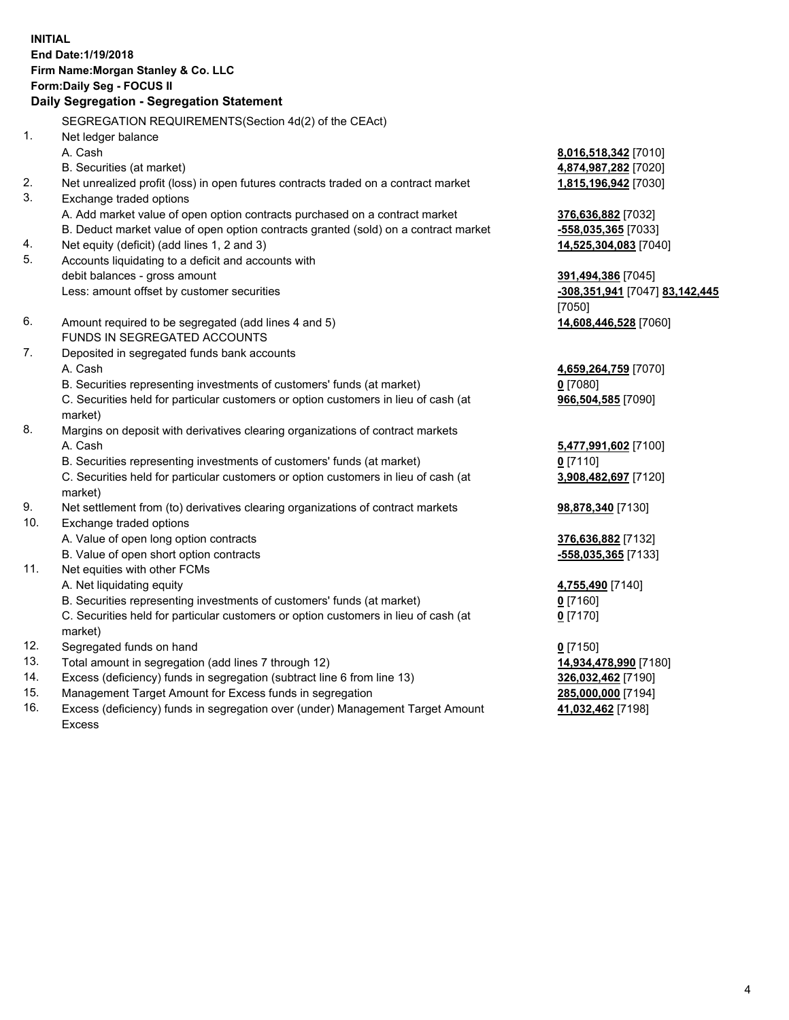### **INITIAL End Date:1/19/2018 Firm Name:Morgan Stanley & Co. LLC Form:Daily Seg - FOCUS II**

## **Daily Segregation - Segregation Statement**

SEGREGATION REQUIREMENTS(Section 4d(2) of the CEAct) 1. Net ledger balance A. Cash **8,016,518,342** [7010] B. Securities (at market) **4,874,987,282** [7020] 2. Net unrealized profit (loss) in open futures contracts traded on a contract market **1,815,196,942** [7030] 3. Exchange traded options A. Add market value of open option contracts purchased on a contract market **376,636,882** [7032] B. Deduct market value of open option contracts granted (sold) on a contract market **-558,035,365** [7033] 4. Net equity (deficit) (add lines 1, 2 and 3) **14,525,304,083** [7040] 5. Accounts liquidating to a deficit and accounts with debit balances - gross amount **391,494,386** [7045] Less: amount offset by customer securities **-308,351,941** [7047] **83,142,445** [7050] 6. Amount required to be segregated (add lines 4 and 5) **14,608,446,528** [7060] FUNDS IN SEGREGATED ACCOUNTS 7. Deposited in segregated funds bank accounts A. Cash **4,659,264,759** [7070] B. Securities representing investments of customers' funds (at market) **0** [7080] C. Securities held for particular customers or option customers in lieu of cash (at market) **966,504,585** [7090] 8. Margins on deposit with derivatives clearing organizations of contract markets A. Cash **5,477,991,602** [7100] B. Securities representing investments of customers' funds (at market) **0** [7110] C. Securities held for particular customers or option customers in lieu of cash (at market) **3,908,482,697** [7120] 9. Net settlement from (to) derivatives clearing organizations of contract markets **98,878,340** [7130] 10. Exchange traded options A. Value of open long option contracts **376,636,882** [7132] B. Value of open short option contracts **-558,035,365** [7133] 11. Net equities with other FCMs A. Net liquidating equity **4,755,490** [7140] B. Securities representing investments of customers' funds (at market) **0** [7160] C. Securities held for particular customers or option customers in lieu of cash (at market) **0** [7170] 12. Segregated funds on hand **0** [7150] 13. Total amount in segregation (add lines 7 through 12) **14,934,478,990** [7180] 14. Excess (deficiency) funds in segregation (subtract line 6 from line 13) **326,032,462** [7190] 15. Management Target Amount for Excess funds in segregation **285,000,000** [7194]

16. Excess (deficiency) funds in segregation over (under) Management Target Amount Excess

**41,032,462** [7198]